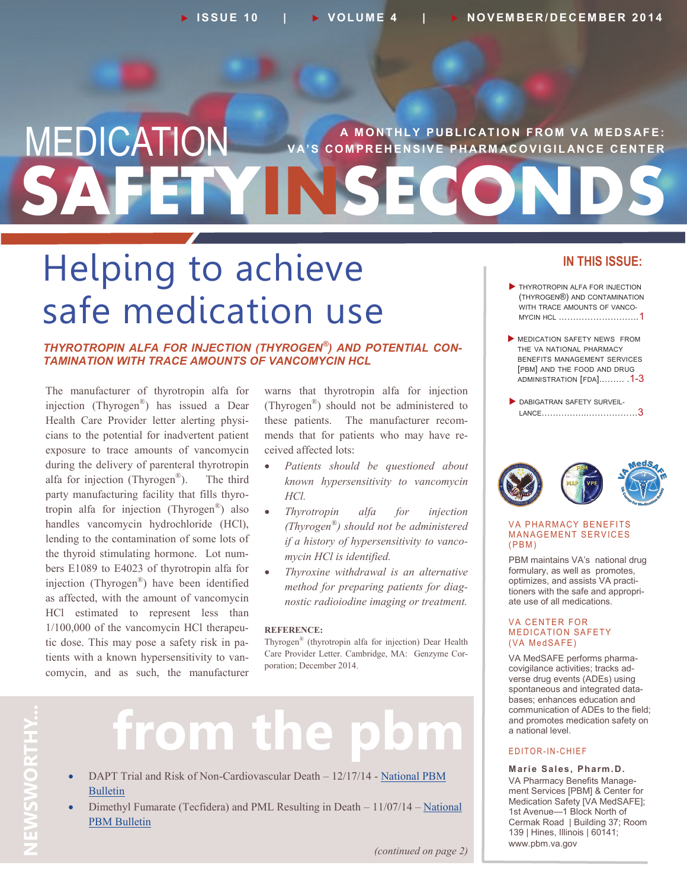# **SAFETYINSECONDS MEDICATION** VA'S COMPREHENSIVE PHARMACOVIGILANCE CENTER **V A' S C O M P R E H E N S I V E P H AR M AC O V I G I L AN C E C E N T E R**

# Helping to achieve safe medication use

*THYROTROPIN ALFA FOR INJECTION (THYROGEN® ) AND POTENTIAL CON-TAMINATION WITH TRACE AMOUNTS OF VANCOMYCIN HCL*

The manufacturer of thyrotropin alfa for injection (Thyrogen® ) has issued a Dear Health Care Provider letter alerting physicians to the potential for inadvertent patient exposure to trace amounts of vancomycin during the delivery of parenteral thyrotropin alfa for injection (Thyrogen<sup>®</sup>). ). The third party manufacturing facility that fills thyrotropin alfa for injection (Thyrogen® ) also handles vancomycin hydrochloride (HCl), lending to the contamination of some lots of the thyroid stimulating hormone. Lot numbers E1089 to E4023 of thyrotropin alfa for injection (Thyrogen® ) have been identified as affected, with the amount of vancomycin HCl estimated to represent less than 1/100,000 of the vancomycin HCl therapeutic dose. This may pose a safety risk in patients with a known hypersensitivity to vancomycin, and as such, the manufacturer

warns that thyrotropin alfa for injection (Thyrogen® ) should not be administered to these patients. The manufacturer recommends that for patients who may have received affected lots:

- *Patients should be questioned about known hypersensitivity to vancomycin HCl.*
- *Thyrotropin alfa for injection (Thyrogen® ) should not be administered if a history of hypersensitivity to vancomycin HCl is identified.*
- *Thyroxine withdrawal is an alternative method for preparing patients for diagnostic radioiodine imaging or treatment.*

#### **REFERENCE:**

Thyrogen® (thyrotropin alfa for injection) Dear Health Care Provider Letter. Cambridge, MA: Genzyme Corporation; December 2014.

- from the
- DAPT Trial and Risk of Non-Cardiovascular Death 12/17/14 National PBM [Bulletin](http://www.pbm.va.gov/PBM/vacenterformedicationsafety/nationalpbmbulletin/DAPT_Trial_Results_NATIONAL_PBM_BULLETIN_121714_FINAL.pdf)
- Dimethyl Fumarate (Tecfidera) and PML Resulting in Death  $-11/07/14$  National [PBM Bulletin](http://www.pbm.va.gov/PBM/vacenterformedicationsafety/nationalpbmbulletin/Dimethyl_Fumarate_Tecfidera_and_PML_Resulting_in_Death_NATIONAL_PBM_Bulletin.pdf)

## **IN THIS ISSUE:**

- **THYROTROPIN ALFA FOR INJECTION** (THYROGEN®) AND CONTAMINATION WITH TRACE AMOUNTS OF VANCO-MYCIN HCL ……………………….1
- **MEDICATION SAFETY NEWS FROM** THE VA NATIONAL PHARMACY BENEFITS MANAGEMENT SERVICES [PBM] AND THE FOOD AND DRUG ADMINISTRATION [FDA]..……. .1-3
- DABIGATRAN SAFETY SURVEIL-LANCE…………….………………3



#### **VA PHARMACY BENEFITS MANAGEMENT SERVICES**  $(PBM)$

PBM maintains VA's national drug formulary, as well as promotes, optimizes, and assists VA practitioners with the safe and appropriate use of all medications.

#### **VA CENTER FOR MEDICATION SAFETY** (VA MedSAFE)

VA MedSAFE performs pharmacovigilance activities; tracks adverse drug events (ADEs) using spontaneous and integrated databases; enhances education and communication of ADEs to the field; and promotes medication safety on a national level.

#### E D I T O R - I N - C H I E F

**Marie Sales, Pharm.D.** VA Pharmacy Benefits Management Services [PBM] & Center for Medication Safety [VA MedSAFE]; 1st Avenue—1 Block North of Cermak Road | Building 37; Room 139 | Hines, Illinois | 60141; www.pbm.va.gov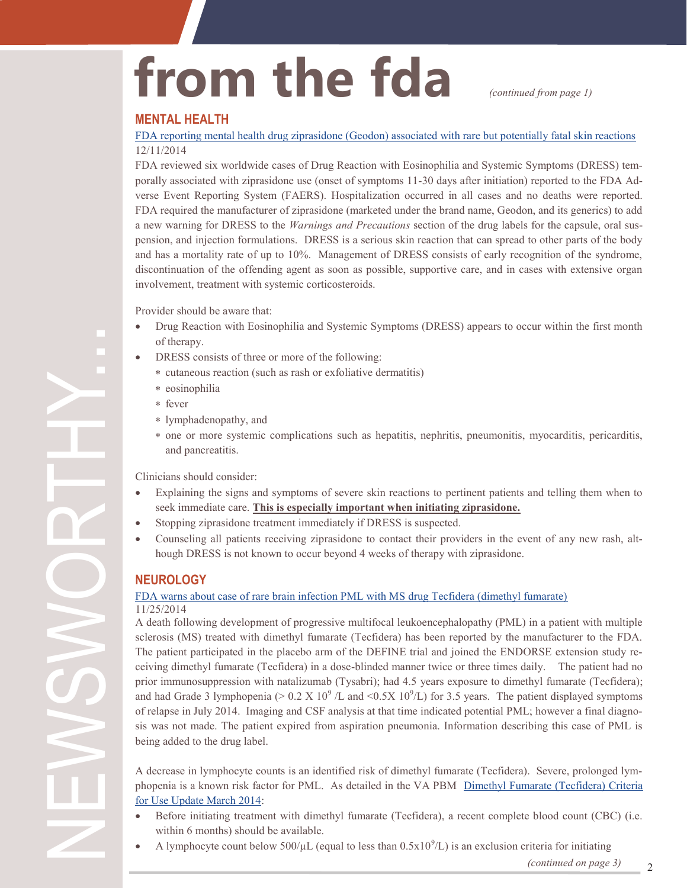# from the fda *continued from page 1)*

#### **MENTAL HEALTH**

[FDA reporting mental health drug ziprasidone \(Geodon\) associated with rare but potentially fatal skin reactions](http://www.fda.gov/Drugs/DrugSafety/ucm426391.htm) 12/11/2014

FDA reviewed six worldwide cases of Drug Reaction with Eosinophilia and Systemic Symptoms (DRESS) temporally associated with ziprasidone use (onset of symptoms 11-30 days after initiation) reported to the FDA Adverse Event Reporting System (FAERS). Hospitalization occurred in all cases and no deaths were reported. FDA required the manufacturer of ziprasidone (marketed under the brand name, Geodon, and its generics) to add a new warning for DRESS to the *Warnings and Precautions* section of the drug labels for the capsule, oral suspension, and injection formulations. DRESS is a serious skin reaction that can spread to other parts of the body and has a mortality rate of up to 10%. Management of DRESS consists of early recognition of the syndrome, discontinuation of the offending agent as soon as possible, supportive care, and in cases with extensive organ involvement, treatment with systemic corticosteroids.

Provider should be aware that:

- Drug Reaction with Eosinophilia and Systemic Symptoms (DRESS) appears to occur within the first month of therapy.
- DRESS consists of three or more of the following:
	- cutaneous reaction (such as rash or exfoliative dermatitis)
	- eosinophilia
	- fever
	- lymphadenopathy, and
	- one or more systemic complications such as hepatitis, nephritis, pneumonitis, myocarditis, pericarditis, and pancreatitis.

Clinicians should consider:

- Explaining the signs and symptoms of severe skin reactions to pertinent patients and telling them when to seek immediate care. **This is especially important when initiating ziprasidone.**
- Stopping ziprasidone treatment immediately if DRESS is suspected.
- Counseling all patients receiving ziprasidone to contact their providers in the event of any new rash, although DRESS is not known to occur beyond 4 weeks of therapy with ziprasidone.

### **NEUROLOGY**

#### [FDA warns about case of rare brain infection PML with MS drug Tecfidera \(dimethyl fumarate\)](http://www.fda.gov/Drugs/DrugSafety/ucm424625.htm) 11/25/2014

A death following development of progressive multifocal leukoencephalopathy (PML) in a patient with multiple sclerosis (MS) treated with dimethyl fumarate (Tecfidera) has been reported by the manufacturer to the FDA. The patient participated in the placebo arm of the DEFINE trial and joined the ENDORSE extension study receiving dimethyl fumarate (Tecfidera) in a dose-blinded manner twice or three times daily. The patient had no prior immunosuppression with natalizumab (Tysabri); had 4.5 years exposure to dimethyl fumarate (Tecfidera); and had Grade 3 lymphopenia ( $> 0.2 \text{ X } 10^9$  /L and  $\lt 0.5 \text{ X } 10^9$ /L) for 3.5 years. The patient displayed symptoms of relapse in July 2014. Imaging and CSF analysis at that time indicated potential PML; however a final diagnosis was not made. The patient expired from aspiration pneumonia. Information describing this case of PML is being added to the drug label.

A decrease in lymphocyte counts is an identified risk of dimethyl fumarate (Tecfidera). Severe, prolonged lymphopenia is a known risk factor for PML. As detailed in the VA PBM [Dimethyl Fumarate \(Tecfidera\) Criteria](http://www.pbm.va.gov/PBM/clinicalguidance/criteriaforuse/Dimethyl_Fumarate_Tecfidera_CFU_update_March_2014.doc)  [for Use Update March 2014:](http://www.pbm.va.gov/PBM/clinicalguidance/criteriaforuse/Dimethyl_Fumarate_Tecfidera_CFU_update_March_2014.doc)

- Before initiating treatment with dimethyl fumarate (Tecfidera), a recent complete blood count (CBC) (i.e. within 6 months) should be available.
- A lymphocyte count below  $500/\mu$ L (equal to less than  $0.5x10^9$ /L) is an exclusion criteria for initiating